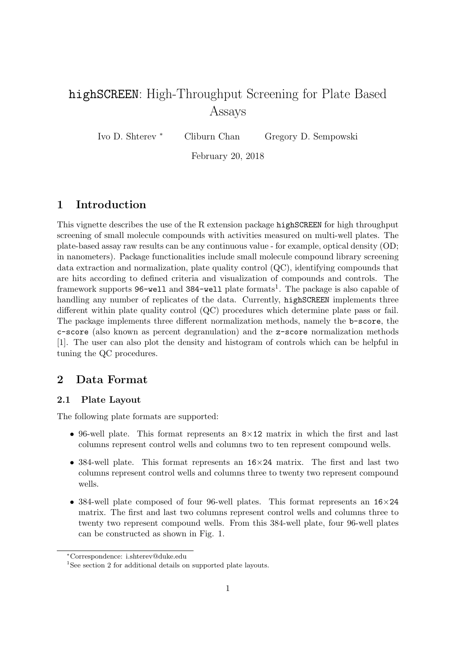# highSCREEN: High-Throughput Screening for Plate Based Assays

Ivo D. Shterev <sup>∗</sup> Cliburn Chan Gregory D. Sempowski

February 20, 2018

## 1 Introduction

This vignette describes the use of the R extension package highSCREEN for high throughput screening of small molecule compounds with activities measured on multi-well plates. The plate-based assay raw results can be any continuous value - for example, optical density (OD; in nanometers). Package functionalities include small molecule compound library screening data extraction and normalization, plate quality control (QC), identifying compounds that are hits according to defined criteria and visualization of compounds and controls. The framework supports 96-well and 384-well plate formats<sup>1</sup>. The package is also capable of handling any number of replicates of the data. Currently, highSCREEN implements three different within plate quality control (QC) procedures which determine plate pass or fail. The package implements three different normalization methods, namely the b-score, the c-score (also known as percent degranulation) and the z-score normalization methods [1]. The user can also plot the density and histogram of controls which can be helpful in tuning the QC procedures.

### 2 Data Format

### 2.1 Plate Layout

The following plate formats are supported:

- 96-well plate. This format represents an  $8\times12$  matrix in which the first and last columns represent control wells and columns two to ten represent compound wells.
- 384-well plate. This format represents an 16×24 matrix. The first and last two columns represent control wells and columns three to twenty two represent compound wells.
- 384-well plate composed of four 96-well plates. This format represents an  $16\times24$ matrix. The first and last two columns represent control wells and columns three to twenty two represent compound wells. From this 384-well plate, four 96-well plates can be constructed as shown in Fig. 1.

<sup>∗</sup>Correspondence: i.shterev@duke.edu

<sup>&</sup>lt;sup>1</sup>See section 2 for additional details on supported plate layouts.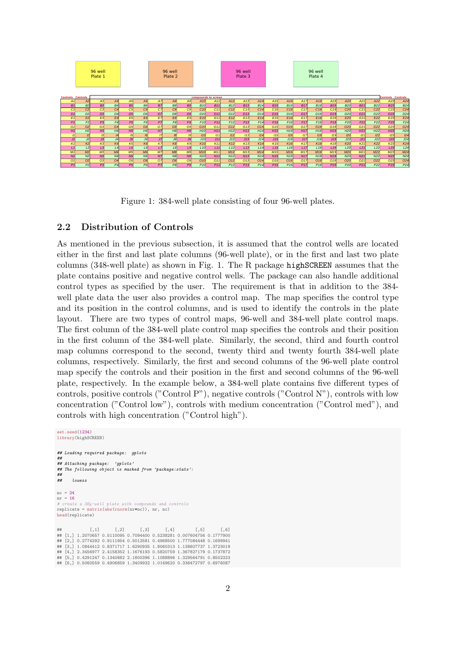

Figure 1: 384-well plate consisting of four 96-well plates.

### 2.2 Distribution of Controls

As mentioned in the previous subsection, it is assumed that the control wells are located either in the first and last plate columns (96-well plate), or in the first and last two plate columns (348-well plate) as shown in Fig. 1. The R package highSCREEN assumes that the plate contains positive and negative control wells. The package can also handle additional control types as specified by the user. The requirement is that in addition to the 384 well plate data the user also provides a control map. The map specifies the control type and its position in the control columns, and is used to identify the controls in the plate layout. There are two types of control maps, 96-well and 384-well plate control maps. The first column of the 384-well plate control map specifies the controls and their position in the first column of the 384-well plate. Similarly, the second, third and fourth control map columns correspond to the second, twenty third and twenty fourth 384-well plate columns, respectively. Similarly, the first and second columns of the 96-well plate control map specify the controls and their position in the first and second columns of the 96-well plate, respectively. In the example below, a 384-well plate contains five different types of controls, positive controls ("Control P"), negative controls ("Control N"), controls with low concentration ("Control low"), controls with medium concentration ("Control med"), and controls with high concentration ("Control high").

```
set.seed(1234)
library(highSCREEN)
## Loading required package: gplots
##
## Attaching package: 'gplots'
## The following object is masked from 'package:stats':
##
      1.owess
nc = 24nr = 16
# create a 384-well plate with compounds and controls
replicate = matrix(abs(rnorm(nr*nc)), nr, nc)
head(replicate)
## [,1] [,2] [,3] [,4] [,5] [,6]
## [1,] 1.2070657 0.5110095 0.7094400 0.5238281 0.007604756 0.1777900
## [2,] 0.2774292 0.9111954 0.5012581 0.4968500 1.777084448 0.1699941
## [3,] 1.0844412 0.8371717 1.6290935 1.8060313 1.138607737 1.3723019
## [4,] 2.3456977 2.4158352 1.1676193 0.5820759 1.367827179 0.1737872
## [5,] 0.4291247 0.1340882 2.1800396 1.1088896 1.329564791 0.8502323
## [6,] 0.5060559 0.4906859 1.3409932 1.0149620 0.336472797 0.6976087
```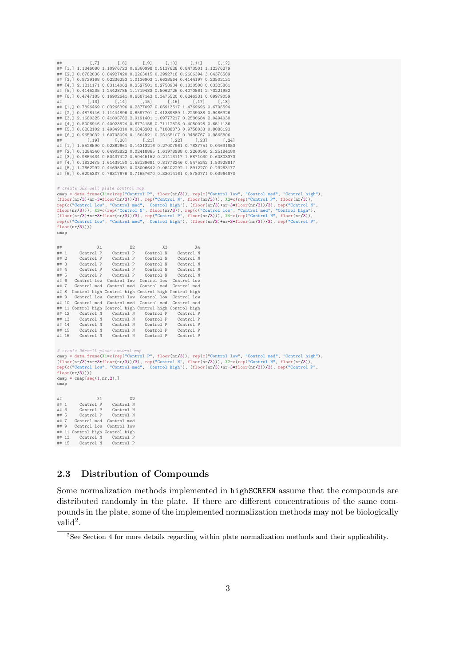```
## [,7] [,8] [,9] [,10] [,11] [,12]
## [1,] 1.1346080 1.10976723 0.6360998 0.5137628 0.8473501 1.12376279
## [2,] 0.8782036 0.84927420 0.2263015 0.3992718 0.2606394 3.04376589
## [3,] 0.9729168 0.02236253 1.0136903 1.6628564 0.4144197 0.23502131
   ## [4,] 2.1211171 0.83114062 0.2527501 0.2758934 0.1830508 0.03325861
## [5,] 0.4145235 1.24428785 1.1719483 0.5062726 0.4070561 2.73221952
## [6,] 0.4747185 0.16902641 0.6687143 0.3475520 0.6246331 0.09979059
## [,13] [,14] [,15] [,16] [,17] [,18]
## [1,] 0.7896469 0.03266396 0.2877097 0.05913517 1.4769696 0.6705594
## [2,] 0.4878146 1.11444896 0.6597701 0.41339889 1.2239038 0.9486326
## [3,] 2.1680325 0.41805782 2.9191401 1.09777217 0.2580684 2.0494030
## [4,] 0.5006946 0.40023524 0.6774155 0.71117526 0.4050028 0.6511136
## [5,] 0.6202102 1.49349310 0.6843203 0.71888873 0.9758033 0.8086193
## [6,] 0.9659032 1.60708094 0.1864921 0.25165107 0.3488767 0.9865806
## [,19] [,20] [,21] [,22] [,23] [,24]
## [1,] 1.5528590 0.02362661 0.14313216 0.27007961 0.7837751 0.04631853
## [2,] 0.1284340 0.64902822 0.02418865 1.61978988 0.2260540 2.25184180
## [3,] 0.9854434 0.50437422 0.50445152 0.21413117 1.5871030 0.60803373
   ## [4,] 0.1832475 1.61439150 1.58139681 0.81778246 0.5475242 1.50928817
## [5,] 1.7662292 0.44695981 0.03006642 0.05402292 1.8912270 0.23263177
## [6,] 0.6205337 0.76317676 0.71657670 0.33014161 0.8780771 0.03964870
# create 384-well plate control map
cmap = data.frame(X1=c(rep("Control P", floor(nr/3)), rep(c("Control low", "Control med", "Control high"),
(floor(nr/3)+nr-3*floor(nr/3))/3), rep("Control N", floor(nr/3))), X2=c(rep("Control P", floor(nr/3)),<br>rep(c("Control low", "Control med", "Control high"), (floor(nr/3)+nr-3*floor(nr/3))/3), rep("Control N",<br>floor(nr/3))),
floor(nr/3))))cmap
## X1 X2 X3 X4
## 1 Control P Control P Control N Control N
## 2 Control P Control P Control N Control N
## 3 Control P Control P Control N Control N
## 4 Control P Control P Control N Control N
## 5 Control P Control P Control N Control N
## 6 Control low Control low Control low Control low
## 7 Control med Control med Control med Control med
## 8 Control high Control high Control high Control high
       Control low Control low Control low Control low
## 10 Control med Control med Control med Control med
## 11 Control high Control high Control high Control high
## 12 Control N Control N Control P Control P
## 13 Control N Control N Control P Control P
## 14 Control N Control N Control P Control P
         Control N Control N Control P Control P Control N Control P Control P
## 16 Control N Control N Control P Control P
# create 96-icmap = data.frame(X1=c(rep("Control P", floor(nr/3)), rep(c("Control low", "Control med", "Control high"),
(floor(nr/3)+nr-3*floor(nr/3))/3), rep("Control N", floor(nr/3))), X2=c(rep("Control N", floor(nr/3)),
rep(c("Control low", "Control med", "Control high"), (floor(nr/3)+nr-3*floor(nr/3))/3), rep("Control P",
floor(nr/3))))map = \text{cmp}[\text{seq}(1,nr,2),]cmap
## X1 X2
## 1 Control P Control N
## 3 Control P Control N
## 5 Control P<br>## 7 Control med
## 7 Control med Control med
       Control low Control low
## 11 Control high Control high
## 13 Control N Control P<br>## 15 Control N Control P
         Control N
```
### 2.3 Distribution of Compounds

Some normalization methods implemented in highSCREEN assume that the compounds are distributed randomly in the plate. If there are different concentrations of the same compounds in the plate, some of the implemented normalization methods may not be biologically valid<sup>2</sup>.

<sup>&</sup>lt;sup>2</sup>See Section 4 for more details regarding within plate normalization methods and their applicability.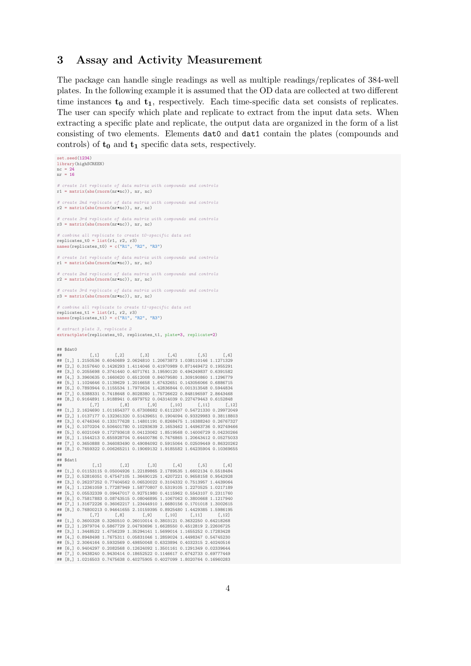### 3 Assay and Activity Measurement

The package can handle single readings as well as multiple readings/replicates of 384-well plates. In the following example it is assumed that the OD data are collected at two different time instances  $t_0$  and  $t_1$ , respectively. Each time-specific data set consists of replicates. The user can specify which plate and replicate to extract from the input data sets. When extracting a specific plate and replicate, the output data are organized in the form of a list consisting of two elements. Elements dat0 and dat1 contain the plates (compounds and controls) of  $t_0$  and  $t_1$  specific data sets, respectively.

set.seed(1234) library(highSCREEN)  $nc = 24$ nr = 16 # create 1st replicate of data matrix with compounds and controls  $r1 = matrix(abs(rnorm(nr*nc))$ , nr, nc) create 2nd replicate of data matrix with compounds and controls  $r2 = \text{matrix(abs(rnorm(nr+nc))}, \text{nr}, \text{nc})$ # create 3rd replicate of data matrix with compounds and controls  $r3 = \text{matrix(abs}(rnorm(nr*nc))$ , nr, nc) # combine all replicate to create t0-specific data set replicates\_t0 = list(r1, r2, r3) names(replicates\_t0) = c("R1", "R2", "R3") replicate of data matrix with compounds and controls  $r1 = matrix(abs(rnorm(nr*nc))$ , nr, nc) create 2nd replicate of data matrix with compounds and controls  $r2 = matrix(abs(rnorm(nr*nc))$ , nr, nc) # create 3rd replicate of data matrix with compounds and controls  $r3 = \text{matrix(abs(rnorm(nr*nc))}, nr, nc)$ # combine all replicate to create t1-specific data set  $replicates_t1 = list(r1, r2, r3)$ names(replicates\_t1) =  $c("R1", "R2", "R3")$ # extract plate 3, replicate 2 extractplate(replicates\_t0, replicates\_t1, plate=3, replicate=2) ## \$dat0 ## [,1] [,2] [,3] [,4] [,5] [,6] ## [1,] 1.2150536 0.6040689 2.0624810 1.20673873 1.038110146 1.1271329 ## [2,] 0.3157640 0.1426293 1.4114046 0.41970989 0.871449472 0.1955291 ## [3,] 0.2055698 0.3741440 0.4071761 3.19590120 0.494249837 0.6391582 EX, CHROSSON CHAITING CHANGE OF ANGELIA CHANGE OF ALSO CONSUMED [4,] 3.3960635 0.1660620 0.6512008 0.84079580 1.309190860 1.1296779 ## [5,] 1.1024646 0.1139629 1.2016658 1.67432651 0.143056066 0.6886715 ## [6,] 0.7893944 0.1155534 1.7970624 1.42836844 0.001313548 0.5944834 ## [7,] 0.5388331 0.7418648 0.8028380 1.75726622 0.848196597 2.8643468 ## [8,] 0.9164891 1.9188941 0.6979752 0.04314039 0.227479443 0.6152848 ## [,7] [,8] [,9] [,10] [,11] [,12] ## [1,] 2.1624690 1.011654377 0.67308682 0.6112307 0.54721330 0.29972049 ## [2,] 1.0137177 0.132361320 0.51439651 0.1904094 0.93329983 0.38118803 ## [3,] 0.4746346 0.133177628 1.14801191 0.8268475 1.16388240 0.26767327 ## [4,] 0.1070204 0.506401780 0.10293639 2.1653462 1.44963736 0.92749466 ## [5,] 0.6021049 0.172793618 0.04123062 1.8519568 0.14006729 0.04230266 ## [6,] 1.1544213 0.655928704 0.64400786 0.7476865 1.20643412 0.05275033 ## [7,] 0.3650888 0.346083490 0.49084092 0.5915064 0.02509449 0.86320262 ## [8,] 0.7659322 0.006265211 0.19069132 1.9185582 1.64235904 0.10369655 ##  $##$  \$dat1 ## [,1] [,2] [,3] [,4] [,5] [,6] ## [1,] 0.01153115 0.05004926 1.22189865 2.1789535 1.6602134 0.5518484 ## [2,] 0.52816051 0.47547105 1.36490125 1.4207221 0.9658158 0.9542928 ## [3,] 0.26237252 0.77404562 0.06520022 0.3104332 0.7513957 1.4439064 ## [4,] 1.12361059 1.77287949 1.58770807 0.5319105 1.2270525 1.0217189 ## [5,] 0.05532339 0.09447017 0.92751980 0.4115962 0.5543107 0.2311760 ## [6,] 0.75817883 0.08743515 0.08046895 1.1067062 0.3800668 1.1217940 ## [7,] 1.31672226 0.36062217 1.23444910 1.6680156 0.1701018 1.3002615 ## [8,] 0.76800213 0.94641655 2.10159395 0.8925480 1.4429385 1.5986195 ## [,7] [,8] [,9] [,10] [,11] [,12] ## [1,] 0.3600328 0.3260510 0.26010014 0.3803121 0.3632250 0.64218268 ## [2,] 1.2979704 0.5867729 2.04793696 1.6628550 0.4512819 2.22606725 ## [3,] 1.3448522 1.4756239 1.35294141 1.5699014 1.1655252 0.17283428 ## [4,] 0.8948498 1.7675311 0.05831046 1.2859024 1.4498347 0.54745230 ## [5,] 2.3064164 0.5932569 0.49850048 0.6323894 0.4032315 2.40240516 E6,] 0.9404297 0.2082568 0.12624092 1.3501161 0.1291349 0.02339644 ## [7,] 0.9438240 0.9430414 0.18652522 0.1146617 0.6742733 0.69777449 ## [8,] 1.0216503 0.7475638 0.40275905 0.4027099 1.8020764 0.16960283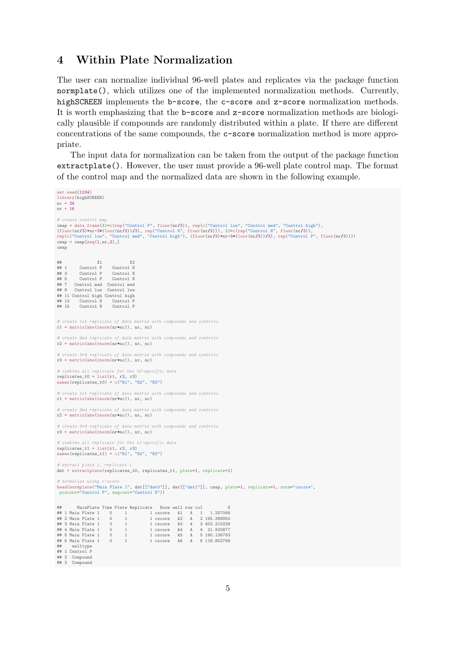### 4 Within Plate Normalization

The user can normalize individual 96-well plates and replicates via the package function normplate(), which utilizes one of the implemented normalization methods. Currently, highSCREEN implements the b-score, the c-score and z-score normalization methods. It is worth emphasizing that the b-score and z-score normalization methods are biologically plausible if compounds are randomly distributed within a plate. If there are different concentrations of the same compounds, the c-score normalization method is more appropriate.

The input data for normalization can be taken from the output of the package function extractplate(). However, the user must provide a 96-well plate control map. The format of the control map and the normalized data are shown in the following example.

```
set.seed(1234)
library(highSCREEN)
nc = 24nr = 16
# create control map
cmap = data.frame(X1=c(rep("Control P", floor(nr/3)), rep(c("Control low", "Control med", "Control high"),<br>(floor(nr/3)+nr-3*floor(nr/3))/3), rep("Control N", floor(nr/3))), X2=c(rep("Control N", floor(nr/3)),<br>rep(c("Contr
map = \text{cmp}[\text{seq}(1,nr,2),]cmap
## X1 X2
## 1 Control P Control N
## 3 Control P Control N<br>## 5 Control P Control N
## 5 Control P Control N
## 7 Control med Control med
## 9 Control low Control low
## 11 Control high Control high
## 13 Control N Control P
## 15 Control N Control P
# create 1st replicate of data matrix with compounds and controls
r1 = matrix(abs(rnorm(nr*nc)), nr, nc)
   create 2nd replicate of data matrix with compounds and controls
r2 = matrix(abs(rnorm(nr*nc)), nr, nc)
       eate 3rd replicate of data matrix with compounds and controls
r3 = \text{matrix(abs(rnorm(nr+nc))}, nr, nc)# combine all replicate for the t0-specific data
replicates_t0 = list(r1, r2, r3)
names(replicates_t0) = c("R1", "R2", "R3")
# create 1st replicate of data matrix with compounds and controls
r1 = \text{matrix(abs(rnorm(nr+nc))}, nr, nc)# create 2nd replicate of data matrix with compounds and controls
r2 = \text{matrix(abs (norm(nr*nc))}, \text{nr}, \text{nc})ate 3rd replicate of data matrix with compounds and controls
r3 = \text{matrix(abs(rnorm(nr*nc))}, nr, nc)# combine all replicate for the t1-specific data
replicates_t1 = list(r1, r2, r3)names(replicates_t1) = c("R1", "R2", "R3")# extract plate 1, replicate 1
dat = extractplate(replicates_t0, replicates_t1, plate=1, replicate=1)
# normalize using c-score<br>head(normplate("Main Plate 1", dat[["dat0"]], dat[["dat1"]], cmap, plate=1, replicate=1, norm="cscore",<br>poscont="Control P", negcont="Control N"))
## MainPlate Time Plate Replicate Norm well row col S
## 1 Main Plate 1 0 1 1 cscore A1 A 1 1.207066
## 2 Main Plate 1 0 1 1 cscore A2 A 2 165.388950
## 3 Main Plate 1 0 1 1 cscore A3 A 3 402.215226
## 4 Main Plate 1 0 1 1 cscore A4 A 4 21.920877
## 5 Main Plate 1 0 1 1 cscore A5 A 5 190.136763
## 6 Main Plate 1 0 1 1 cscore A6 A 6 118.852789
## 2 Main Plate 1<br>
## 3 Main Plate 1 0 1<br>
## 4 Main Plate 1 0 1<br>
## 6 Main Plate 1 0 1<br>
## 6 Main Plate 1 0 1<br>
## welltve
## 1 Control P
## 2 Compound
## 3 Compound
```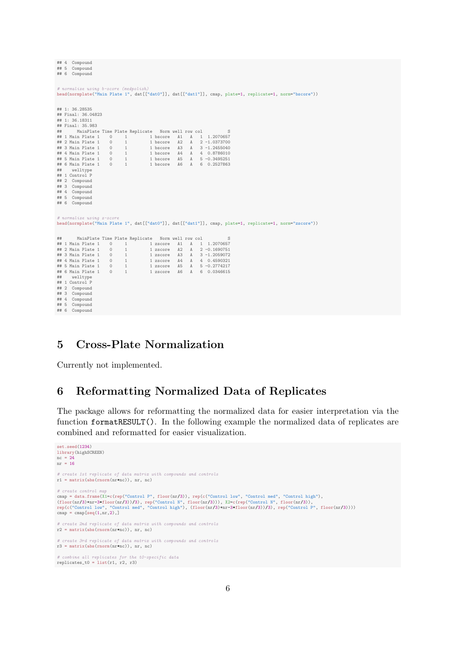```
## 4 Compound
 ## 5 Compound
## 6 Compound
 # normalize using b-score (medpolish)
head(normplate("Main Plate 1", dat[["dat0"]], dat[["dat1"]], cmap, plate=1, replicate=1, norm="bscore"))
## 1: 36.28535
 ## Final: 36.04823
## 1: 36.18311
## Final: 35.983
 ## MainPlate Time Plate Replicate Norm well row col<br>
## 1 Main Plate 1 0 1 1 bscore A1 A 1 1.2070657<br>
## 2 Main Plate 1 0 1 1 bscore A2 A 2 -1.0373700<br>
## 3 Main Plate 1 0 1 1 bscore A3 A 3 -1.2455040<br>
## 5 Main Plate 1 0 
 ## welltype
## 1 Control P
 ## 2 Compound
## 3 Compound
## 4 Compound
## 5 Compound
## 6 Compound
 # normalize using z-score
head(normplate("Main Plate 1", dat[["dat0"]], dat[["dat1"]], cmap, plate=1, replicate=1, norm="zscore"))
## MainPlate Time Plate Replicate Norm well row col S
 ## 1 Main Plate 1 0 1 1 28<br>core A1 A 1 1.2070657<br>## 2 Main Plate 1 0 1 1 28<br>core A3 A 3 -1.2050761<br>## 5 Main Plate 1 0 1 1 28<br>core A4 A 4 0.4590321<br>## 5 Main Plate 1 0 1 1 28<br>core A5 A 5 -0.274247<br>## 6 Main Plate 1 0 1 1 2
 ## welltype
## 1 Control P
## 2 Compound
## 3 Compound
 ## 4 Compound
## 5 Compound
## 6 Compound
```
## 5 Cross-Plate Normalization

Currently not implemented.

## 6 Reformatting Normalized Data of Replicates

The package allows for reformatting the normalized data for easier interpretation via the function formatRESULT(). In the following example the normalized data of replicates are combined and reformatted for easier visualization.

```
set.seed(1234)
library(highSCREEN)
nc = 24nr = 16
# create 1st replicate of data matrix with compounds and controls
r1 = \text{matrix(abs (norm(nr*nc)), nr, nc)}# create control map
cmap = data.frame(X1=c(rep("Control P", floor(nr/3)), rep(c("Control low", "Control med", "Control high"),<br>(floor(nr/3)+nr-3*floor(nr/3))/3), rep("Control N", floor(nr/3))), X2=c(rep("Control N", floor(nr/3)),<br>rep(c("Contr
cmap = \text{cmap}[\text{seq}(1,nr,2),]create 2nd replicate of data matrix with compounds and controls
r2 = \text{matrix(abs(rnorm(nr+nc))}, nr, nc)# create 3rd replicate of data matrix with compounds and controls
r3 = \text{matrix}(\text{abs}(\text{norm}(\text{n}*\text{nc})), \text{nr}, \text{nc})# combine all replicates for the t0-specific data
replicates_t0 = list(r1, r2, r3)
```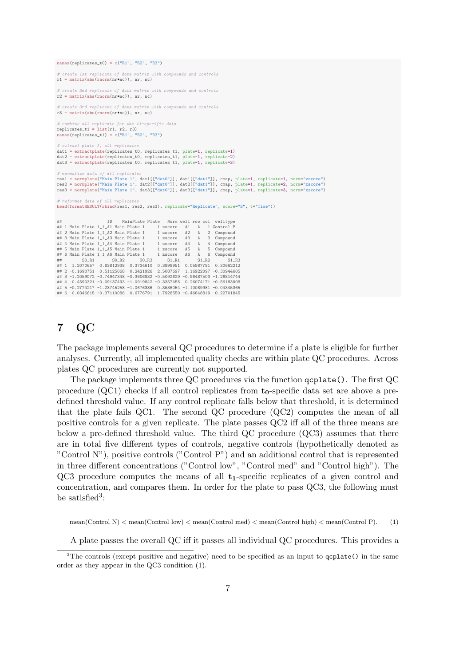names(replicates  $t0$ ) = c("R1", "R2", "R3")

# create 1st replicate of data matrix with compounds and controls  $matrix(abs(rnorm(nr*nc))$ , nr, nc) # create 2nd replicate of data matrix with compounds and controls  $r2 = \text{matrix(abs(rnorm(nr*nc))}, nr, nc)$ create 3rd replicate of data matrix with compounds and controls r3 = matrix(abs(rnorm(nr\*nc)), nr, nc) # combine all replicate for the t1-specific data replicates\_t1 = list(r1, r2, r3) names(replicates\_t1) = c("R1", "R2", "R3") # extract plate 1, all replicates dat1 = extractplate(replicates\_t0, replicates\_t1, plate=1, replicate=1) dat2 = extractplate(replicates\_t0, replicates\_t1, plate=1, replicate=2) dat3 = extractplate(replicates\_t0, replicates\_t1, plate=1, replicate=3) ormalize data of all replicates res1 = normplate("Main Plate 1", dat1[["dat0"]], dat1[["dat1"]], cmap, plate=1, replicate=1, norm="zscore") res2 = normplate("Main Plate 1", dat2[["dat0"]], dat2[["dat1"]], cmap, plate=1, replicate=2, norm="zscore") res3 = normplate("Main Plate 1", dat3[["dat0"]], dat3[["dat1"]], cmap, plate=1, replicate=3, norm="zscore") # reformat data of all replicates head(formatRESULT(rbind(res1, res2, res3), replicate="Replicate", score="S", t="Time")) ## ID MainPlate Plate Norm well row col welltype 1 xscore A1 A 1 Control P<br>1 zscore A2 A 2 Compound ## 2 Main Plate  $1\_1\_A2$  Main Plate 1 ## 3 Main Plate 1\_1\_A3 Main Plate 1 1 zscore A3 A 3 Compound ## 4 Main Plate 1\_1\_A4 Main Plate 1 1 zscore A4 A 4 Compound ## 5 Main Plate 1\_1\_A5 Main Plate 1 1 zscore A5 A 5 Compound<br>## 6 Main Plate 1\_1\_A6 Main Plate 1 1 zscore A6 A 6 Compound<br>## 6 Main Plate 1 20\_R2 S0\_R3 S1\_R1 S1\_R2 S1\_ ## 6 Main Plate 1\_1\_A6 Main Plate 1 1 zscore A6 A 6 Compound<br>## 50\_R1 S0\_R2 S0\_R2 S0\_R3 S1\_R1 S1\_R2<br>## 1 1.2070657 0.83812938 0.3734610 0.3898951 0.05987781 0.30662212

## 2 -0.1690751 0.51125068 0.2421926 2.5087697 1.16922097 -0.30944605 ## 3 -1.2059072 -0.74947348 -0.3606832 -0.5092629 -0.96487503 -1.26814744 ## 4 0.4590321 -0.09137493 -1.0919842 -0.3357455 0.26074171 -0.56183908 ## 5 -0.2774217 -1.23745258 -1.0676386 0.3536054 -1.10089981 -0.04345365 ## 6 0.0346615 -0.37110086 0.6776791 1.7928550 -0.46648819 0.22701845

## 7 QC

The package implements several QC procedures to determine if a plate is eligible for further analyses. Currently, all implemented quality checks are within plate QC procedures. Across plates QC procedures are currently not supported.

The package implements three QC procedures via the function qcplate(). The first QC procedure (QC1) checks if all control replicates from  $t_0$ -specific data set are above a predefined threshold value. If any control replicate falls below that threshold, it is determined that the plate fails QC1. The second QC procedure (QC2) computes the mean of all positive controls for a given replicate. The plate passes QC2 iff all of the three means are below a pre-defined threshold value. The third QC procedure (QC3) assumes that there are in total five different types of controls, negative controls (hypothetically denoted as "Control N"), positive controls ("Control P") and an additional control that is represented in three different concentrations ("Control low", "Control med" and "Control high"). The  $QC3$  procedure computes the means of all  $t_1$ -specific replicates of a given control and concentration, and compares them. In order for the plate to pass QC3, the following must be satisfied<sup>3</sup>:

mean(Control N)  $\leq$  mean(Control low)  $\leq$  mean(Control med)  $\leq$  mean(Control high)  $\leq$  mean(Control P). (1)

A plate passes the overall QC iff it passes all individual QC procedures. This provides a

 $3$ The controls (except positive and negative) need to be specified as an input to  $qcplate()$  in the same order as they appear in the QC3 condition (1).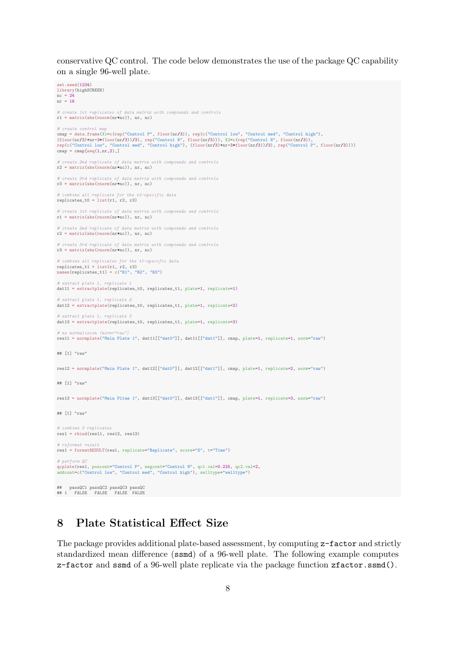conservative QC control. The code below demonstrates the use of the package QC capability on a single 96-well plate.

```
set.seed(1234)
library(highSCREEN)
nc = 24
nr = 16
# create 1st replicates of data matrix with compounds and controls
r1 = matrix(abs(rnorm(nr*nc)), nr, nc)
# create control map<br>cmap = data.frame(X1=c(rep("Control P", floor(nr/3)), rep(c("Control low", "Control med", "Control high"),<br>(floor(nr/3)+nr-3*floor(nr/3))/3), rep("Control N", floor(nr/3))), X2=c(rep("Control N", floor
  create 2nd replicate of data matrix with compounds and controls
r2 = \text{matrix(abs}(rnorm(nr*nc)), nr, nc)
# create 3rd replicate of data matrix with compounds and controls
r3 = \text{matrix(abs(rnorm(nr*nc))}, nr, nc)# combine all replicate for the t0-specific data
replicates_t0 = list(r1, r2, r3)# create 1st replicate of data matrix with compounds and controls
r1 = matrix(abs(rnorm(nr*nc)), nr, nc)
# create 2nd replicate of data matrix with compounds and controls
r2 = \text{matrix(abs (norm(nr*nc)), nr, nc)}# create 3rd replicate of data matrix with compounds and controls
r3 = \text{matrix(abs(rnorm(nr*nc))}, nr, nc)# combine all replicates for the t1-specific data
replicates_t1 = list(r1, r2, r3)
names(replicates_t1) = c("R1", "R2", "R3")extract plate 1, replicate
dat11 = extractplate(replicates_t0, replicates_t1, plate=1, replicate=1)
# extract plate 1, replicate 2
dat12 = extractplate(replicates_t0, replicates_t1, plate=1, replicate=2)
# extract plate 1, replicate 3
dat13 = extractplate(replicates_t0, replicates_t1, plate=1, replicate=3)
# no normalizion (norm="raw")
res11 = normplate("Main Plate 1", dat11[["dat0"]], dat11[["dat1"]], cmap, plate=1, replicate=1, norm="raw")
## [1] "raw"
res12 = normplate("Main Plate 1", dat12[["dat0"]], dat12[["dat1"]], cmap, plate=1, replicate=2, norm="raw")
## [1] "raw"
res13 = normplate("Main Pltae 1", dat13[["dat0"]], dat13[["dat1"]], cmap, plate=1, replicate=3, norm="raw")
## [1] "raw"
# combine 3 replicates
res1 = rbind(res11, res12, res13)
# reformat result
res1 = formatRESULT(res1, replicate="Replicate", score="S", t="Time")
# perform QC<br>qcplate(res1, poscont="Control P", negcont="Control N", qc1.val=0.225, qc2.val=2,<br>addcont=c("Control low", "Control med", "Control high"), welltype="welltype")
## passQC1 passQC2 passQC3 passQC
## 1 FALSE FALSE FALSE FALSE
```
## 8 Plate Statistical Effect Size

The package provides additional plate-based assessment, by computing z-factor and strictly standardized mean difference (ssmd) of a 96-well plate. The following example computes z-factor and ssmd of a 96-well plate replicate via the package function zfactor.ssmd().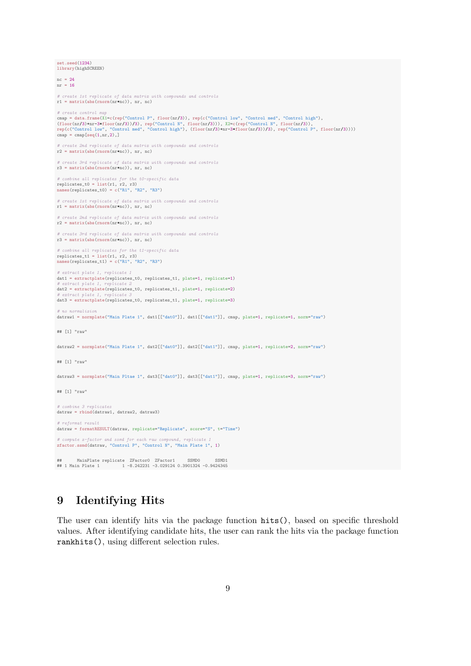```
set.seed(1234)
library(highSCREEN)
nc = 24nr = 16# create 1st replicate of data matrix with compounds and controls
r1 = \text{matrix(abs(rnorm(nr*nc)), nr, nc)}# create control ncmap = data.frame(X1=c(rep("Control P", floor(nr/3)), rep(c("Control low", "Control med", "Control high"),<br>(floor(nr/3)+nr-3*floor(nr/3))/3), rep("Control N", floor(nr/3))), X2=c(rep("Control N", floor(nr/3)),<br>rep(c("Contr
map = \text{map}[\text{seq}(1,nr,2),]# create 2nd replicate of data matrix with compounds and controls
r2 = \text{matrix(abs (norm(nr*nc))}, \text{nr}, \text{nc})# create 3rd replicate of data matrix with compounds and controls
r3 = \text{matrix(abs(rnorm(nr*nc))}, nr, nc)# combine all replicates for the t0-specific data
replicates_t0 = list(r1, r2, r3)
    nes(replicates_t0) = c("R1", "R2", "R3")# create 1st replicate of data matrix with compounds and controls
r1 = matrix(abs(rnorm(nr*nc)), nr, nc)
# create 2nd replicate of data matrix with compounds and controls
r2 = \text{matrix(abs(rnorm(nr+nc))}, \text{nr}, \text{nc})# create 3rd replicate of data matrix with compounds and controls
r3 = \text{matrix(abs (norm(nr*nc))}, \text{nr}, \text{nc})# combine all replicates for the t1-specific data
replicates_t1 = list(r1, r2, r3)
names(replicates_t1) = c("R1", "R2", "R3")
# extract plate 1, replicate 1
dat1 = extractplate(replicates_t0, replicates_t1, plate=1, replicate=1) # extract plate 1, replicate 2
 # extract plate 1, replicate 2
dat2 = extractplate(replicates_t0, replicates_t1, plate=1, replicate=2)
 # extract plate 1, replicate 3
dat3 = extractplate(replicates_t0, replicates_t1, plate=1, replicate=3)
  no normalizion
datraw1 = normplate("Main Plate 1", dat1[["dat0"]], dat1[["dat1"]], cmap, plate=1, replicate=1, norm="raw")
## [1] "raw"
datraw2 = normplate("Main Plate 1", dat2[["dat0"]], dat2[["dat1"]], cmap, plate=1, replicate=2, norm="raw")
## [1] "raw"
datraw3 = normplate("Main Pltae 1", dat3[["dat0"]], dat3[["dat1"]], cmap, plate=1, replicate=3, norm="raw")
## [1] "raw"
# combine 3 replicates
datraw = rbind(datraw1, datraw2, datraw3)
# reformat result
datraw = formatRESULT(datraw, replicate="Replicate", score="S", t="Time")
 # compute z-factor and ssmd for each raw compound, replicate 1
zfactor.ssmd(datraw, "Control P", "Control N", "Main Plate 1", 1)
 ## MainPlate replicate ZFactor0 ZFactor1 SSMD0 SSMD1
## 1 Main Plate 1 1 -8.242231 -3.029124 0.3901324 -0.9424345
```
## 9 Identifying Hits

The user can identify hits via the package function hits(), based on specific threshold values. After identifying candidate hits, the user can rank the hits via the package function rankhits(), using different selection rules.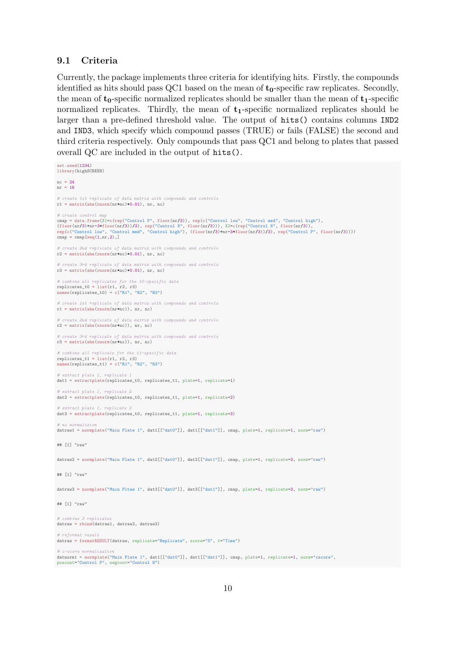### 9.1 Criteria

Currently, the package implements three criteria for identifying hits. Firstly, the compounds identified as hits should pass QC1 based on the mean of  $t_0$ -specific raw replicates. Secondly, the mean of  $t_0$ -specific normalized replicates should be smaller than the mean of  $t_1$ -specific normalized replicates. Thirdly, the mean of  $t_1$ -specific normalized replicates should be larger than a pre-defined threshold value. The output of hits() contains columns IND2 and IND3, which specify which compound passes (TRUE) or fails (FALSE) the second and third criteria respectively. Only compounds that pass QC1 and belong to plates that passed overall QC are included in the output of hits().

```
set.seed(1234)
library(highSCREEN)
nc = 24nr = 16# create 1st replicate of data matrix with compounds and controls
r1 = \text{matrix(abs(rnorm(nr+nc)*0.01), nr, nc)}# create control mcmap = data.frame(X1=c(rep("Control P", floor(nr/3)), rep(c("Control low", "Control med", "Control high"),<br>(floor(nr/3)+nr-3*floor(nr/3))/3), rep("Control N", floor(nr/3))), X2=c(rep("Control N", floor(nr/3)),<br>rep(c("Contr
map = \text{map}[\text{seq}(1,nr,2),]# create 2nd replicate of data matrix with compounds and controls
r2 = matrix(abs(rnorm(nr*nc)*0.01), nr, nc)# create 3rd replicate of data matrix with compounds and controls
r3 = \text{matrix(abs}(rnorm(nr*nc)*0.01), nr, nc)
 # combine all replicates for the t0-specific data
replicates_t0 = list(r1, r2, r3)
  \frac{1}{\text{m}}es(replicates_t0) = c("R1", "R2", "R3")
# create 1st replicate of data matrix with compounds and controls
r1 = matrix(abs(rnorm(nr*nc)), nr, nc)
     eate 2nd replicate of data matrix with compounds and controls
r2 = \text{matrix(abs(rnorm(nr*nc))}, nr, nc)# create 3rd replicate of data matrix with compounds and controls
r^3 = matrix(abs(rnorm(nr*nc)), nr, nc)
 # combine all replicate for the t1-specific data
replicates_t1 = list(r1, r2, r3)
names(replicates_t1) = c("R1", "R2", "R3")# extract plate 1, replicate 1
dat1 = extractplate(replicates_t0, replicates_t1, plate=1, replicate=1)
    \pitract plate 1, replicate 2
dat2 = extractplate(replicates_t0, replicates_t1, plate=1, replicate=2)
    xtract plate 1, replicate 3
data =extractplate(replicates_t0, replicates_t1, plate=1, replicate=3)
# no normalizio
datraw1 = normplate("Main Plate 1", dat1[["dat0"]], dat1[["dat1"]], cmap, plate=1, replicate=1, norm="raw")
## [1] "raw"
datraw2 = normplate("Main Plate 1", dat2[["dat0"]], dat2[["dat1"]], cmap, plate=1, replicate=2, norm="raw")
## [1] "raw"
datraw3 = normplate("Main Pltae 1", dat3[["dat0"]], dat3[["dat1"]], cmap, plate=1, replicate=3, norm="raw")
## [1] "raw"
 # combine 3 replicates
datraw = rbind(datraw1, datraw2, datraw3)
 # reformat result
datraw = formatRESULT(datraw, replicate="Replicate", score="S", t="Time")
     -score normalization
datnorm1 = normplate("Main Plate 1", dat1[["dat0"]], dat1[["dat1"]], cmap, plate=1, replicate=1, norm="cscore",
poscont="Control P", negcont="Control N")
```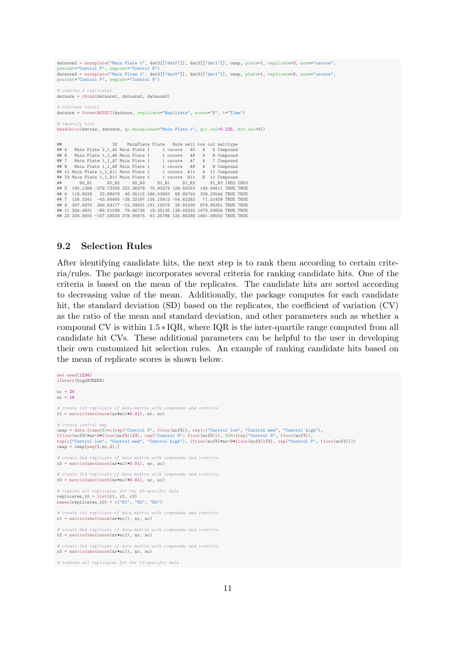datnorm2 = normplate("Main Plate 1", dat2[["dat0"]], dat2[["dat1"]], cmap, plate=1, replicate=2, norm="cscore", poscont="Control P", negcont="Control N") datnorm3 = normplate("Main Pltae 1", dat3[["dat0"]], dat3[["dat1"]], cmap, plate=1, replicate=3, norm="cscore", poscont="Control P", negcont="Control N") # combine 3 replicates datnorm = rbind(datnorm1, datnorm2, datnorm3) reformat result datnorm = formatRESULT(datnorm, replicate="Replicate", score="S", t="Time") # identify hits head(hits(datraw, datnorm, qc.mainplates="Main Plate 1", qc1.val=0.225, hit.val=3)) ## ID MainPlate Plate Norm well row col welltype ## 5 Main Plate 1\_1\_A5 Main Plate 1 1 cscore A5 A 5 Compound ## 6 Main Plate 1\_1\_A6 Main Plate 1 1 cscore A6 A 6 Compound ##7 Main Plate 1\_1\_A7 Main Plate 1 1 cscore A7 A 7 Compound<br>##8 Main Plate 1\_1\_A8 Main Plate 1 1 cscore A8 A 8 Compound<br>##11 Main Plate 1\_1\_A11 Main Plate 1 1 cscore A11 A 11 Compound<br>##23 Main Plate 1\_1\_Bi1 Main Plate 1 1 ## S0\_R1 S0\_R2 S0\_R3 S1\_R1 S1\_R2 S1\_R3 IND2 IND3 ## 5 190.1368 -279.73258 322.36378 75.93379 129.55053 145.46611 TRUE TRUE ## 6 118.8528 23.69479 46.05115 186.03993 88.95740 339.23544 TRUE TRUE ## 7 138.3241 -43.64655 -28.22197 135.15912 -54.62282 71.21409 TRUE TRUE ## 8 307.6970 340.59177 -12.29621 191.15576 28.91436 879.95351 TRUE TRUE ## 11 356.4831 -89.51039 79.66726 18.25135 138.49332 1479.93856 TRUE TRUE ## 23 234.5600 -107.33533 278.90875 61.25786 125.86286 1491.08000 TRUE TRUE

### 9.2 Selection Rules

After identifying candidate hits, the next step is to rank them according to certain criteria/rules. The package incorporates several criteria for ranking candidate hits. One of the criteria is based on the mean of the replicates. The candidate hits are sorted according to decreasing value of the mean. Additionally, the package computes for each candidate hit, the standard deviation (SD) based on the replicates, the coefficient of variation (CV) as the ratio of the mean and standard deviation, and other parameters such as whether a compound CV is within 1.5 ∗ IQR, where IQR is the inter-quartile range computed from all candidate hit CVs. These additional parameters can be helpful to the user in developing their own customized hit selection rules. An example of ranking candidate hits based on the mean of replicate scores is shown below.

```
et.seed(1234)library(highSCREEN)
nc = 24nr = 16
# create 1st replicate of data matrix with compounds and controls
r1 = \text{matrix(abs(rnorm(nrm*nc)*(0.01), nr, nc)}# create control m
cmap = data.frame(X1=c(rep("Control P", floor(nr/3)), rep(c("Control low", "Control med", "Control high"),<br>(floor(nr/3)+nr-3*floor(nr/3))/3), rep("Control N", floor(nr/3))), X2=c(rep("Control N", floor(nr/3)),<br>rep(c("Contr
cmap = \text{cmap}[\text{seq}(1, nr, 2),]create 2nd replicate of data matrix with compounds and controls
r2 = \text{matrix(abs(rnorm(nr+nc)*0.01), nr, nc)}# create 3rd replicate of data matrix with compounds and controls
r3 = \text{matrix(abs}(rnorm(nr*nc)*0.01), nr, nc)
# combine all replicates for the t0-specific data
replicates_t0 = list(r1, r2, r3)names(replicates_t0) = c("R1", "R2", "R3")
 # create 1st replicate of data matrix with compounds and controls
r1 = \text{matrix(abs(rnorm(nr+nc))}, nr, nc)# create 2nd replicate of data matrix with compounds and controls
r2 = \text{matrix(abs}(rnorm(nr*nc)), nr, nc)
# create 3rd replicate of data matrix with compounds and controls
r3 = \text{matrix(abs(rnorm(nr*nc))}, nr, nc)# combine all replicates for the t1-specific data
```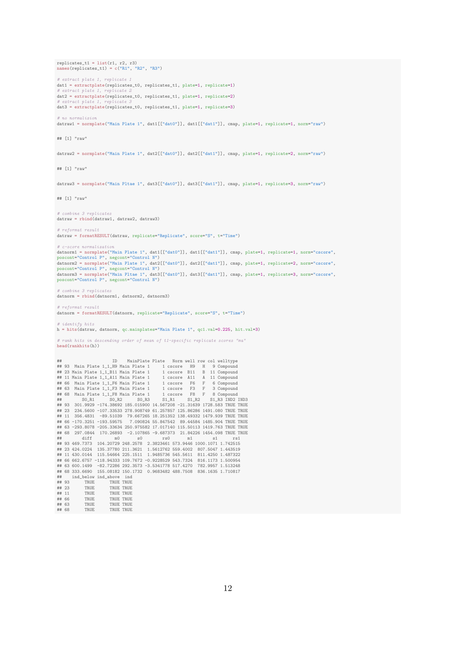$replicates_t1 = list(r1, r2, r3)$  $es(replicates_t1) = c("R1", "R2", "R3")$ # extract plate 1, replicate 1 metals = extractplate(replicates\_t0, replicates\_t1, plate=1, replicate=1)<br>  $#$  extract plate 1, replicate 2  $#$  extract plate 1, dat2 = extractplate(replicates\_t0, replicates\_t1, plate=1, replicate=2)  $\#$  extract plate 1, replicate 3 # extract plate 1, replicate 3 dat3 = extractplate(replicates\_t0, replicates\_t1, plate=1, replicate=3) # no normalizion datraw1 = normplate("Main Plate 1", dat1[["dat0"]], dat1[["dat1"]], cmap, plate=1, replicate=1, norm="raw") ## [1] "raw" datraw2 = normplate("Main Plate 1", dat2[["dat0"]], dat2[["dat1"]], cmap, plate=1, replicate=2, norm="raw") ## [1] "raw" datraw3 = normplate("Main Pltae 1", dat3[["dat0"]], dat3[["dat1"]], cmap, plate=1, replicate=3, norm="raw") ## [1] "raw" combine 3 replicates datraw = rbind(datraw1, datraw2, datraw3) reformat result datraw = formatRESULT(datraw, replicate="Replicate", score="S", t="Time") # c-score normalization datnorm1 = normplate("Main Plate 1", dat1[["dat0"]], dat1[["dat1"]], cmap, plate=1, replicate=1, norm="cscore", poscont="Control P", negcont="Control N") poscont="Control P", negcont="Control N")<br>datnorm2 = normplate("Main Plate 1", dat2[["dat0"]], dat2[["dat1"]], cmap, plate=1, replicate=2, norm="cscore",<br>poscont="Control P", negcont="Control N")<br>datnorm3 = normplate("Main # combine 3 replicates datnorm = rbind(datnorm1, datnorm2, datnorm3) # reformat result datnorm = formatRESULT(datnorm, replicate="Replicate", score="S", t="Time") # identify hits h = hits(datraw, datnorm, qc.mainplates="Main Plate 1", qc1.val=0.225, hit.val=3) # rank hits in descending order of mean of t1-specific replicate scores "ma" head(rankhits(h)) ## 93 Main Plate 1\_1,H9 MainPlate Plate Norm well row col welltype<br>
## 93 Main Plate 1\_1,B11 Main Plate 1 1 cscore H9 H 9 Compound<br>
## 23 Main Plate 1\_1,B11 Main Plate 1 1 cscore H91 B 11 Compound<br>
## 66 Main Plate 1\_1,F6 ## 23 234.5600 -107.33533 278.908749 61.257857 125.86286 1491.080 TRUE TRUE<br>## 11 356.4831 -89.51039 79.667265 18.251352 138.49332 1479.939 TRUE TRUE<br>## 66 -170.3251 -193.59575 7.090824 55.847542 89.44584 1485.904 TRUE TRU ## 93 469.7373 104.2079 248.2578 2.3823461 573.9464 1000.1071 1.742515<br>
## 93 469.7373 104.20729 248.2578 2.3823461 573.9464 1000.1071 1.742515<br>
## 23 424.0224 135.37780 211.3621 1.5612762 559.4002 807.5047 1.443519<br>
## 11 ## ind\_below ind\_above ind ## 93 TRUE TRUE TRUE ## 23 TRUE TRUE TRUE TRUE ## 11 TRUE TRUE TRUE ## 66 TRUE TRUE TRUE<br>## 63 TRUE TRUE TRUE TRUE ## 63 TRUE TRUE TRUE<br>## 63 TRUE TRUE TRUE<br>## 68 TRUE TRUE TRUE

TRUE TRUE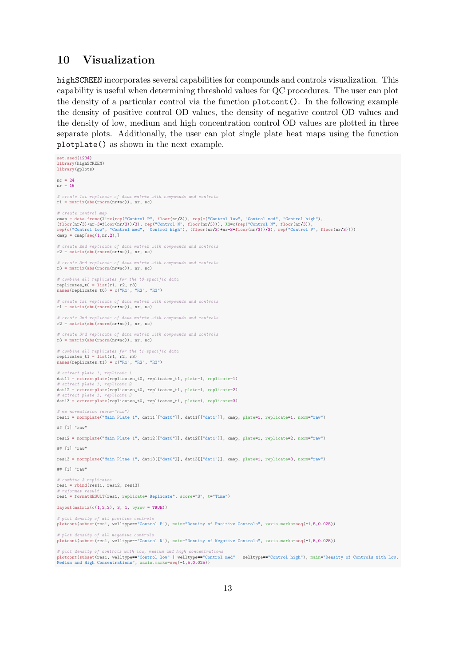## 10 Visualization

highSCREEN incorporates several capabilities for compounds and controls visualization. This capability is useful when determining threshold values for QC procedures. The user can plot the density of a particular control via the function plotcont(). In the following example the density of positive control OD values, the density of negative control OD values and the density of low, medium and high concentration control OD values are plotted in three separate plots. Additionally, the user can plot single plate heat maps using the function plotplate() as shown in the next example.

```
set.seed(1234)
library(highSCREEN)
library(gplots)
nc = 24nr = 16# create 1st replicate of data matrix with compounds and controls
r1 = matrix(abs(rnorm(nr*nc)), nr, nc)
# create control map<br>cmap = data.frame(XI=c(rep("Control P", floor(nr/3)), rep(c("Control low", "Control med", "Control high"),<br>(floor(nr/3)+nr-3*floor(nr/3))/3), rep("Control N", floor(nr/3))), X2=c(rep("Control N", floor
cmap = \text{cmp}[\text{seq}(1,nr,2),]# create 2nd replicate of data matrix with compounds and controls
r2 = matrix(abs(rnorm(nr*nc)), nr, nc)
# create 3rd replicate of data matrix with compounds and controls
r3 = \text{matrix(abs(rnorm(nr*nc)), nr, nc)}# combine all replicates for the t0-specific data
replicates_t0 = list(r1, r2, r3)
  names(replicates_t0) = c("R1", "R2", "R3")
  create 1st replicate of data matrix with compounds and controls
r1 = \text{matrix}(abs(rnorm(nr*nc)), nr, nc)
# create 2nd replicate of data matrix with compounds and controls
r2 = \text{matrix(abs(rnorm(nr*c))}, \text{nr}, \text{nc})# create 3rd replicate of data matrix with compounds and controls
r3 = matrix(abs(rnorm(nr*nc)), nr, nc)
# combine all replicates for the t1-specific data
replicates_t1 = list(r1, r2, r3)
names(replicates_t1) = c("R1", "R2", "R3")
     .tract plate 1
dat11 = extractplate(replicates_t0, replicates_t1, plate=1, replicate=1)
  extract plate
dat12 = extractplate(replicates_t0, replicates_t1, plate=1, replicate=2)
# extract plate 1, replicate 3
dat13 = extractplate(replicates_t0, replicates_t1, plate=1, replicate=3)
     p normalizion (norm="
res11 = normplate("Main Plate 1", dat11[["dat0"]], dat11[["dat1"]], cmap, plate=1, replicate=1, norm="raw")
## [1] "raw"
res12 = normplate("Main Plate 1", dat12[["dat0"]], dat12[["dat1"]], cmap, plate=1, replicate=2, norm="raw")
## [1] "ray
res13 = normplate("Main Pltae 1", dat13[["dat0"]], dat13[["dat1"]], cmap, plate=1, replicate=3, norm="raw")
## [1] "raw"
# combine 3 replicates
res1 = rbind(res11, res12, res13)
# reformat result
res1 = formatRESULT(res1, replicate="Replicate", score="S", t="Time")
lavout(matrix(c(1,2,3), 3, 1, byrow = TRUE))
# plot density of all positive controls
plotcont(subset(res1, welltype=="Control P"), main="Density of Positive Controls", xaxis.marks=seq(-1,5,0.025))
 # plot density of all negative controls
plotcont(subset(res1, welltype=="Control N"), main="Density of Negative Controls", xaxis.marks=seq(-1,5,0.025))
# plot density of controls with low, medium and high concentrations
```
plotcont(subset(res1, welltype=="Control low" | welltype=="Control med" | welltype=="Control high"), main="Density of Controls with Low, Medium and High Concentrations", xaxis.marks=seq(-1,5,0.025))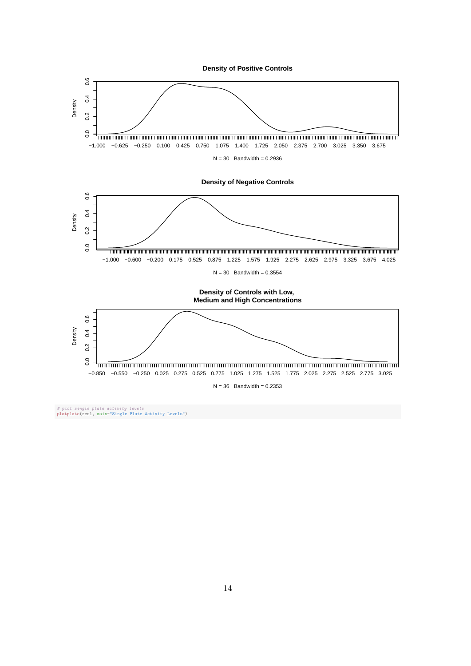

# plot single plate activity levels plotplate(res1, main="Single Plate Activity Levels")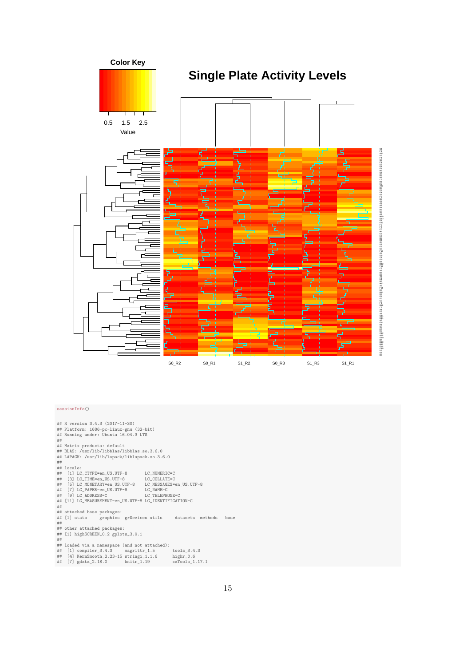

#### sessionInfo()

|    | ## R version 3.4.3 (2017-11-30)                        |                |  |      |
|----|--------------------------------------------------------|----------------|--|------|
|    | ## Platform: i686-pc-linux-gnu (32-bit)                |                |  |      |
|    | ## Running under: Ubuntu 16.04.3 LTS                   |                |  |      |
| ## |                                                        |                |  |      |
|    | ## Matrix products: default                            |                |  |      |
|    | ## BLAS: /usr/lib/libblas/libblas.so.3.6.0             |                |  |      |
|    | ## LAPACK: /usr/lib/lapack/liblapack.so.3.6.0          |                |  |      |
| ## |                                                        |                |  |      |
|    | ## locale:                                             |                |  |      |
|    | ## [1] LC_CTYPE=en_US.UTF-8 LC_NUMERIC=C               |                |  |      |
|    | ## [3] LC_TIME=en_US.UTF-8 LC_COLLATE=C                |                |  |      |
|    | ## [5] LC_MONETARY=en_US.UTF-8 LC_MESSAGES=en_US.UTF-8 |                |  |      |
|    | ## [7] LC_PAPER=en_US.UTF-8 LC_NAME=C                  |                |  |      |
|    | ## [9] LC_ADDRESS=C                                    | LC TELEPHONE=C |  |      |
|    | ## [11] LC_MEASUREMENT=en_US.UTF-8 LC_IDENTIFICATION=C |                |  |      |
| ## |                                                        |                |  |      |
|    | ## attached base packages:                             |                |  |      |
|    | ## [1] stats graphics grDevices utils datasets methods |                |  | base |
| ## |                                                        |                |  |      |
|    | ## other attached packages:                            |                |  |      |
|    | ## [1] highSCREEN_0.2 gplots_3.0.1                     |                |  |      |
| ## |                                                        |                |  |      |
|    | ## loaded via a namespace (and not attached):          |                |  |      |
|    | ## [1] compiler_3.4.3 magrittr_1.5 tools_3.4.3         |                |  |      |
|    | ## [4] KernSmooth_2.23-15 stringi_1.1.6 highr_0.6      |                |  |      |
|    |                                                        |                |  |      |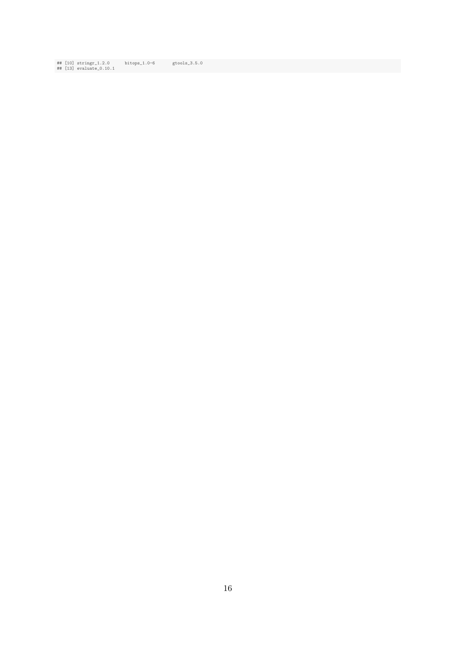## [10] stringr\_1.2.0 bitops\_1.0-6 gtools\_3.5.0 ## [13] evaluate\_0.10.1